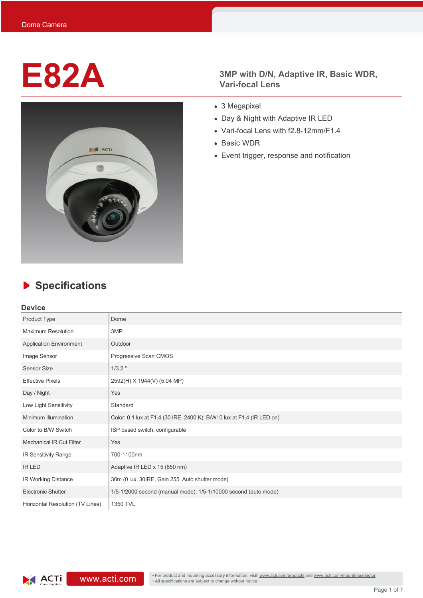

# **E82A** 3MP with D/N, Adaptive IR, Basic WDR, Vari-focal Lens **Vari-focal Lens**

- 3 Megapixel
- Day & Night with Adaptive IR LED
- Vari-focal Lens with f2.8-12mm/F1.4
- Basic WDR
- Event trigger, response and notification

# **Specifications**

### **Device**

| Product Type                     | Dome                                                                    |  |
|----------------------------------|-------------------------------------------------------------------------|--|
| <b>Maximum Resolution</b>        | 3MP                                                                     |  |
| <b>Application Environment</b>   | Outdoor                                                                 |  |
| Image Sensor                     | Progressive Scan CMOS                                                   |  |
| Sensor Size                      | $1/3.2$ "                                                               |  |
| <b>Effective Pixels</b>          | 2592(H) X 1944(V) (5.04 MP)                                             |  |
| Day / Night                      | Yes                                                                     |  |
| Low Light Sensitivity            | Standard                                                                |  |
| Minimum Illumination             | Color: 0.1 lux at F1.4 (30 IRE, 2400 K); B/W: 0 lux at F1.4 (IR LED on) |  |
| Color to B/W Switch              | ISP based switch, configurable                                          |  |
| <b>Mechanical IR Cut Filter</b>  | Yes                                                                     |  |
| IR Sensitivity Range             | 700-1100nm                                                              |  |
| <b>IR LED</b>                    | Adaptive IR LED x 15 (850 nm)                                           |  |
| IR Working Distance              | 30m (0 lux, 30IRE, Gain 255, Auto shutter mode)                         |  |
| <b>Electronic Shutter</b>        | 1/5-1/2000 second (manual mode); 1/5-1/10000 second (auto mode)         |  |
| Horizontal Resolution (TV Lines) | 1350 TVL                                                                |  |

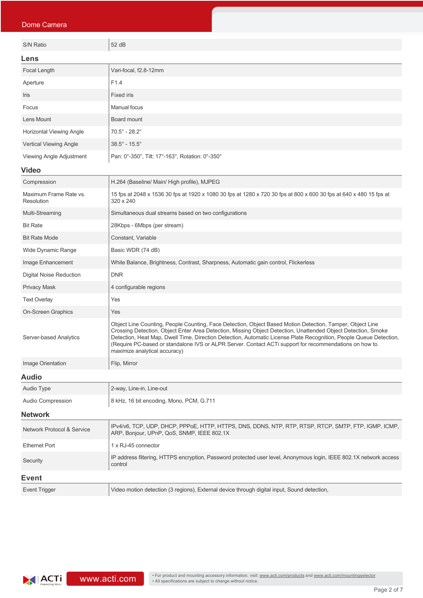| Dome Camera                           |                                                                                                                                                                                                                                                                                                                                                                                                                                                                                             |  |  |
|---------------------------------------|---------------------------------------------------------------------------------------------------------------------------------------------------------------------------------------------------------------------------------------------------------------------------------------------------------------------------------------------------------------------------------------------------------------------------------------------------------------------------------------------|--|--|
| S/N Ratio                             | 52 dB                                                                                                                                                                                                                                                                                                                                                                                                                                                                                       |  |  |
|                                       |                                                                                                                                                                                                                                                                                                                                                                                                                                                                                             |  |  |
| Lens<br>Focal Length                  | Vari-focal, f2.8-12mm                                                                                                                                                                                                                                                                                                                                                                                                                                                                       |  |  |
| Aperture                              |                                                                                                                                                                                                                                                                                                                                                                                                                                                                                             |  |  |
| Iris                                  | F1.4                                                                                                                                                                                                                                                                                                                                                                                                                                                                                        |  |  |
| Focus                                 | <b>Fixed iris</b>                                                                                                                                                                                                                                                                                                                                                                                                                                                                           |  |  |
| Lens Mount                            | <b>Manual focus</b>                                                                                                                                                                                                                                                                                                                                                                                                                                                                         |  |  |
| Horizontal Viewing Angle              | Board mount                                                                                                                                                                                                                                                                                                                                                                                                                                                                                 |  |  |
| Vertical Viewing Angle                | $70.5^{\circ}$ - 28.2 $^{\circ}$<br>$38.5^{\circ}$ - $15.5^{\circ}$                                                                                                                                                                                                                                                                                                                                                                                                                         |  |  |
|                                       |                                                                                                                                                                                                                                                                                                                                                                                                                                                                                             |  |  |
| Viewing Angle Adjustment              | Pan: 0°-350°, Tilt: 17°-163°, Rotation: 0°-350°                                                                                                                                                                                                                                                                                                                                                                                                                                             |  |  |
| <b>Video</b>                          |                                                                                                                                                                                                                                                                                                                                                                                                                                                                                             |  |  |
| Compression                           | H.264 (Baseline/ Main/ High profile), MJPEG                                                                                                                                                                                                                                                                                                                                                                                                                                                 |  |  |
| Maximum Frame Rate vs.<br>Resolution  | 15 fps at 2048 x 1536 30 fps at 1920 x 1080 30 fps at 1280 x 720 30 fps at 800 x 600 30 fps at 640 x 480 15 fps at<br>320 x 240                                                                                                                                                                                                                                                                                                                                                             |  |  |
| Multi-Streaming                       | Simultaneous dual streams based on two configurations                                                                                                                                                                                                                                                                                                                                                                                                                                       |  |  |
| <b>Bit Rate</b>                       | 28Kbps - 6Mbps (per stream)                                                                                                                                                                                                                                                                                                                                                                                                                                                                 |  |  |
| <b>Bit Rate Mode</b>                  | Constant, Variable                                                                                                                                                                                                                                                                                                                                                                                                                                                                          |  |  |
| Wide Dynamic Range                    | Basic WDR (74 dB)                                                                                                                                                                                                                                                                                                                                                                                                                                                                           |  |  |
| Image Enhancement                     | White Balance, Brightness, Contrast, Sharpness, Automatic gain control, Flickerless                                                                                                                                                                                                                                                                                                                                                                                                         |  |  |
| <b>Digital Noise Reduction</b>        | <b>DNR</b>                                                                                                                                                                                                                                                                                                                                                                                                                                                                                  |  |  |
| <b>Privacy Mask</b>                   | 4 configurable regions                                                                                                                                                                                                                                                                                                                                                                                                                                                                      |  |  |
| <b>Text Overlay</b>                   | Yes                                                                                                                                                                                                                                                                                                                                                                                                                                                                                         |  |  |
| <b>On-Screen Graphics</b>             | Yes                                                                                                                                                                                                                                                                                                                                                                                                                                                                                         |  |  |
| Server-based Analytics                | Object Line Counting, People Counting, Face Detection, Object Based Motion Detection, Tamper, Object Line<br>Crossing Detection, Object Enter Area Detection, Missing Object Detection, Unattended Object Detection, Smoke<br>Detection, Heat Map, Dwell Time, Direction Detection, Automatic License Plate Recognition, People Queue Detection,<br>(Require PC-based or standalone IVS or ALPR Server. Contact ACTi support for recommendations on how to<br>maximize analytical accuracy) |  |  |
| Image Orientation                     | Flip, Mirror                                                                                                                                                                                                                                                                                                                                                                                                                                                                                |  |  |
| <b>Audio</b>                          |                                                                                                                                                                                                                                                                                                                                                                                                                                                                                             |  |  |
| Audio Type                            | 2-way, Line-in, Line-out                                                                                                                                                                                                                                                                                                                                                                                                                                                                    |  |  |
| <b>Audio Compression</b>              | 8 kHz, 16 bit encoding, Mono, PCM, G.711                                                                                                                                                                                                                                                                                                                                                                                                                                                    |  |  |
| <b>Network</b>                        |                                                                                                                                                                                                                                                                                                                                                                                                                                                                                             |  |  |
| <b>Network Protocol &amp; Service</b> | IPv4/v6, TCP, UDP, DHCP, PPPoE, HTTP, HTTPS, DNS, DDNS, NTP, RTP, RTSP, RTCP, SMTP, FTP, IGMP, ICMP,<br>ARP, Bonjour, UPnP, QoS, SNMP, IEEE 802.1X                                                                                                                                                                                                                                                                                                                                          |  |  |
| <b>Ethernet Port</b>                  | 1 x RJ-45 connector                                                                                                                                                                                                                                                                                                                                                                                                                                                                         |  |  |
| Security                              | IP address filtering, HTTPS encryption, Password protected user level, Anonymous login, IEEE 802.1X network access<br>control                                                                                                                                                                                                                                                                                                                                                               |  |  |
| <b>Event</b>                          |                                                                                                                                                                                                                                                                                                                                                                                                                                                                                             |  |  |
| <b>Event Trigger</b>                  | Video motion detection (3 regions), External device through digital input, Sound detection,                                                                                                                                                                                                                                                                                                                                                                                                 |  |  |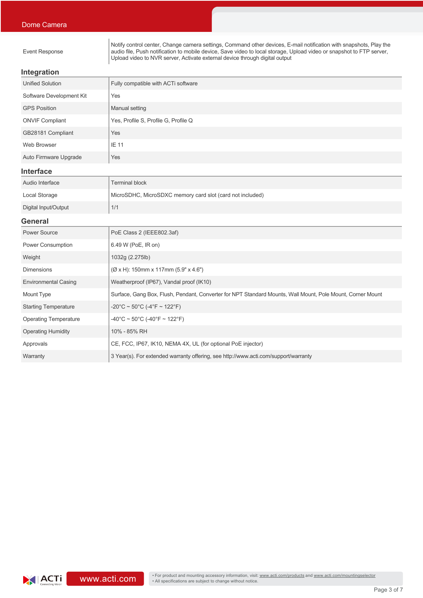Event Response

Notify control center, Change camera settings, Command other devices, E-mail notification with snapshots, Play the audio file, Push notification to mobile device, Save video to local storage, Upload video or snapshot to FTP server, Upload video to NVR server, Activate external device through digital output

### **Integration**

| Unified Solution         | Fully compatible with ACTi software  |
|--------------------------|--------------------------------------|
| Software Development Kit | Yes                                  |
| <b>GPS Position</b>      | Manual setting                       |
| <b>ONVIF Compliant</b>   | Yes, Profile S, Profile G, Profile Q |
| GB28181 Compliant        | Yes                                  |
| Web Browser              | <b>IE 11</b>                         |
| Auto Firmware Upgrade    | Yes                                  |

### **Interface**

| Audio Interface      | <b>Terminal block</b>                                     |
|----------------------|-----------------------------------------------------------|
| Local Storage        | MicroSDHC, MicroSDXC memory card slot (card not included) |
| Digital Input/Output | 1/1                                                       |

### **General**

| <b>Power Source</b>          | PoE Class 2 (IEEE802.3af)                                                                                  |
|------------------------------|------------------------------------------------------------------------------------------------------------|
| <b>Power Consumption</b>     | 6.49 W (PoE, IR on)                                                                                        |
| Weight                       | 1032g (2.275lb)                                                                                            |
| <b>Dimensions</b>            | $(\emptyset$ x H): 150mm x 117mm (5.9" x 4.6")                                                             |
| <b>Environmental Casing</b>  | Weatherproof (IP67), Vandal proof (IK10)                                                                   |
| Mount Type                   | Surface, Gang Box, Flush, Pendant, Converter for NPT Standard Mounts, Wall Mount, Pole Mount, Corner Mount |
| <b>Starting Temperature</b>  | $-20^{\circ}$ C ~ 50 $^{\circ}$ C (-4 $^{\circ}$ F ~ 122 $^{\circ}$ F)                                     |
| <b>Operating Temperature</b> | $-40^{\circ}$ C ~ 50°C (-40°F ~ 122°F)                                                                     |
| <b>Operating Humidity</b>    | 10% - 85% RH                                                                                               |
| Approvals                    | CE, FCC, IP67, IK10, NEMA 4X, UL (for optional PoE injector)                                               |
| Warranty                     | 3 Year(s). For extended warranty offering, see http://www.acti.com/support/warranty                        |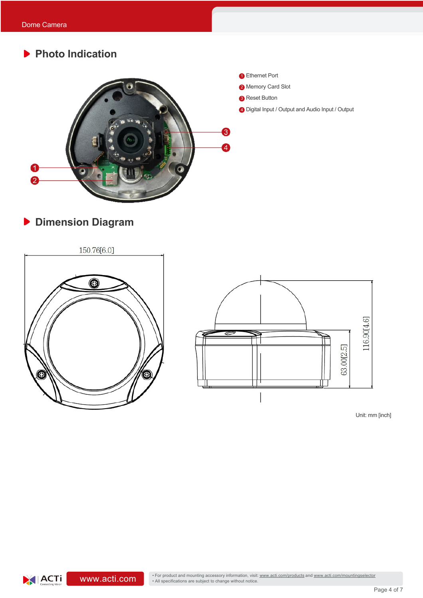# **Photo Indication**



# **Dimension Diagram**



 $|ACTi|$ 



Unit: mm [inch]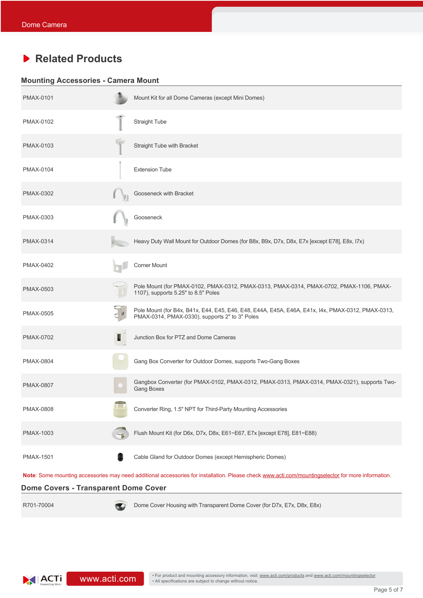## **Related Products**

### **Mounting Accessories - Camera Mount**

| <b>PMAX-0101</b> | Mount Kit for all Dome Cameras (except Mini Domes)                                                                                                  |
|------------------|-----------------------------------------------------------------------------------------------------------------------------------------------------|
| PMAX-0102        | <b>Straight Tube</b>                                                                                                                                |
| <b>PMAX-0103</b> | Straight Tube with Bracket                                                                                                                          |
| <b>PMAX-0104</b> | <b>Extension Tube</b>                                                                                                                               |
| <b>PMAX-0302</b> | Gooseneck with Bracket                                                                                                                              |
| PMAX-0303        | Gooseneck                                                                                                                                           |
| <b>PMAX-0314</b> | Heavy Duty Wall Mount for Outdoor Domes (for B8x, B9x, D7x, D8x, E7x [except E78], E8x, I7x)                                                        |
| <b>PMAX-0402</b> | <b>Corner Mount</b>                                                                                                                                 |
| <b>PMAX-0503</b> | Pole Mount (for PMAX-0102, PMAX-0312, PMAX-0313, PMAX-0314, PMAX-0702, PMAX-1106, PMAX-<br>1107), supports 5.25" to 8.5" Poles                      |
| <b>PMAX-0505</b> | Pole Mount (for B4x, B41x, E44, E45, E46, E48, E44A, E45A, E46A, E41x, I4x, PMAX-0312, PMAX-0313,<br>PMAX-0314, PMAX-0330), supports 2" to 3" Poles |
| <b>PMAX-0702</b> | Junction Box for PTZ and Dome Cameras                                                                                                               |
| <b>PMAX-0804</b> | Gang Box Converter for Outdoor Domes, supports Two-Gang Boxes                                                                                       |
| <b>PMAX-0807</b> | Gangbox Converter (for PMAX-0102, PMAX-0312, PMAX-0313, PMAX-0314, PMAX-0321), supports Two-<br><b>Gang Boxes</b>                                   |
| <b>PMAX-0808</b> | Converter Ring, 1.5" NPT for Third-Party Mounting Accessories                                                                                       |
| <b>PMAX-1003</b> | Flush Mount Kit (for D6x, D7x, D8x, E61~E67, E7x [except E78], E81~E88)                                                                             |
| <b>PMAX-1501</b> | Cable Gland for Outdoor Domes (except Hemispheric Domes)                                                                                            |
|                  | Note: Some mounting accessories may need additional accessories for installation. Please check www.acti.com/mountingselector for more information.  |

**Dome Covers - Transparent Dome Cover**

R701-70004 Dome Cover Housing with Transparent Dome Cover (for D7x, E7x, D8x, E8x)

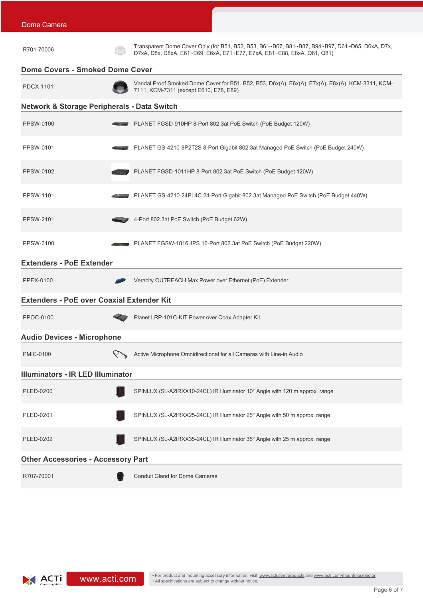| R701-70006                                             | Transparent Dome Cover Only (for B51, B52, B53, B61~B67, B81~B87, B94~B97, D61~D65, D6xA, D7x,<br>D7xA, D8x, D8xA, E61~E69, E6xA, E71~E77, E7xA, E81~E88, E8xA, Q61, Q81) |
|--------------------------------------------------------|---------------------------------------------------------------------------------------------------------------------------------------------------------------------------|
| <b>Dome Covers - Smoked Dome Cover</b>                 |                                                                                                                                                                           |
| <b>PDCX-1101</b>                                       | Vandal Proof Smoked Dome Cover for B51, B52, B53, D6x(A), E6x(A), E7x(A), E8x(A), KCM-3311, KCM-<br>7111, KCM-7311 (except E610, E78, E89)                                |
| <b>Network &amp; Storage Peripherals - Data Switch</b> |                                                                                                                                                                           |
| PPSW-0100                                              | PLANET FGSD-910HP 8-Port 802.3at PoE Switch (PoE Budget 120W)                                                                                                             |
| PPSW-0101                                              | PLANET GS-4210-8P2T2S 8-Port Gigabit 802.3at Managed PoE Switch (PoE Budget 240W)                                                                                         |
| PPSW-0102                                              | PLANET FGSD-1011HP 8-Port 802.3at PoE Switch (PoE Budget 120W)                                                                                                            |
| <b>PPSW-1101</b>                                       | PLANET GS-4210-24PL4C 24-Port Gigabit 802.3at Managed PoE Switch (PoE Budget 440W)                                                                                        |
| <b>PPSW-2101</b>                                       | 4-Port 802.3at PoE Switch (PoE Budget 62W)                                                                                                                                |
| PPSW-3100                                              | PLANET FGSW-1816HPS 16-Port 802.3at PoE Switch (PoE Budget 220W)                                                                                                          |
| <b>Extenders - PoE Extender</b>                        |                                                                                                                                                                           |
| <b>PPEX-0100</b>                                       | Veracity OUTREACH Max Power over Ethernet (PoE) Extender                                                                                                                  |
| <b>Extenders - PoE over Coaxial Extender Kit</b>       |                                                                                                                                                                           |
| PPOC-0100                                              | Planet LRP-101C-KIT Power over Coax Adapter Kit                                                                                                                           |
| <b>Audio Devices - Microphone</b>                      |                                                                                                                                                                           |
| <b>PMIC-0100</b>                                       | Active Microphone Omnidirectional for all Cameras with Line-in Audio                                                                                                      |
| <b>Illuminators - IR LED Illuminator</b>               |                                                                                                                                                                           |
| PLED-0200                                              | SPINLUX (SL-A2IRXX10-24CL) IR Illuminator 10° Angle with 120 m approx. range                                                                                              |
| PLED-0201                                              | SPINLUX (SL-A2IRXX25-24CL) IR Illuminator 25° Angle with 50 m approx. range                                                                                               |
| <b>PLED-0202</b>                                       | SPINLUX (SL-A2IRXX35-24CL) IR Illuminator 35° Angle with 25 m approx. range                                                                                               |
| <b>Other Accessories - Accessory Part</b>              |                                                                                                                                                                           |
| R707-70001                                             | Conduit Gland for Dome Cameras                                                                                                                                            |